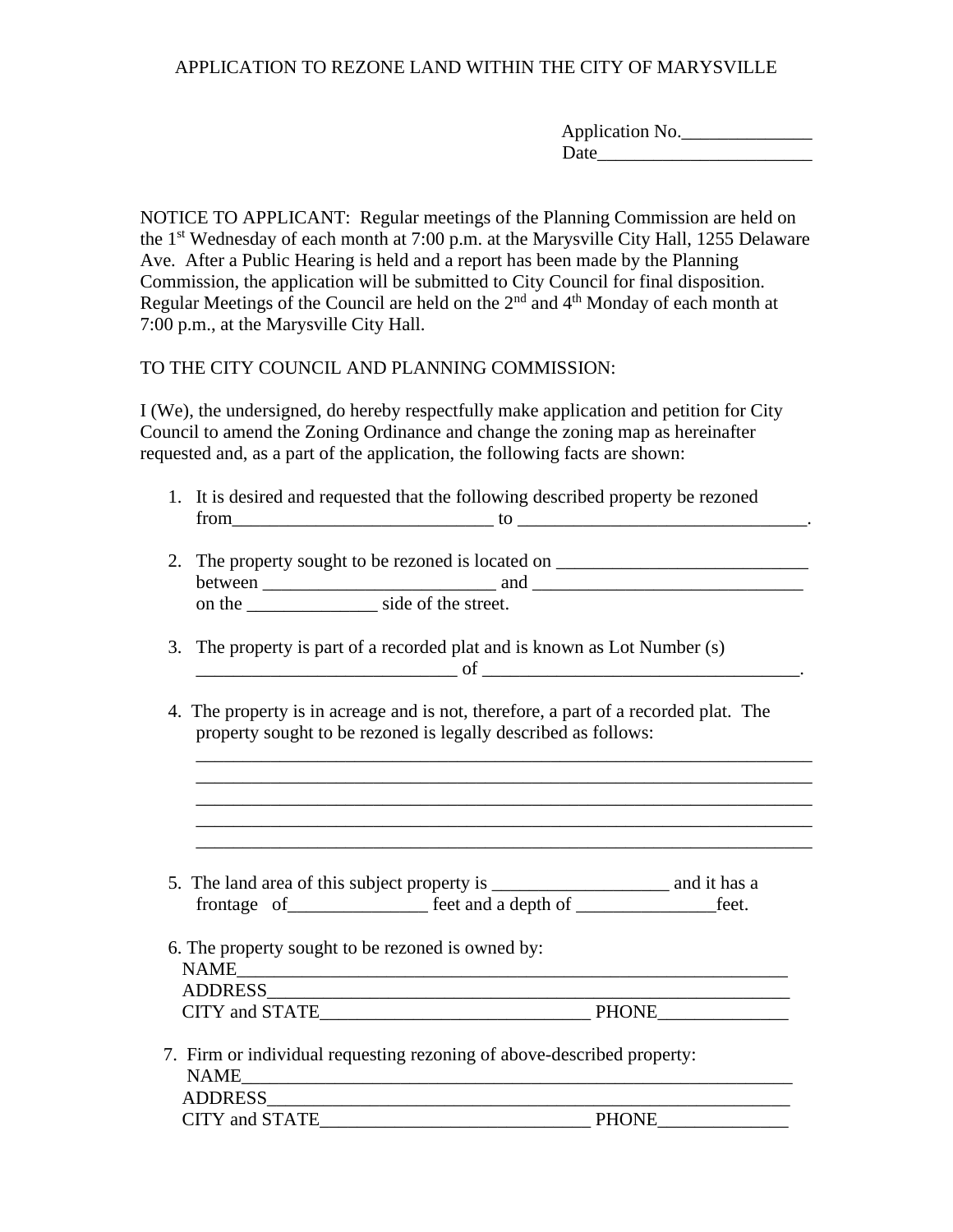## APPLICATION TO REZONE LAND WITHIN THE CITY OF MARYSVILLE

| Application No. |  |
|-----------------|--|
| Date            |  |

NOTICE TO APPLICANT: Regular meetings of the Planning Commission are held on the 1st Wednesday of each month at 7:00 p.m. at the Marysville City Hall, 1255 Delaware Ave. After a Public Hearing is held and a report has been made by the Planning Commission, the application will be submitted to City Council for final disposition. Regular Meetings of the Council are held on the  $2<sup>nd</sup>$  and  $4<sup>th</sup>$  Monday of each month at 7:00 p.m., at the Marysville City Hall.

TO THE CITY COUNCIL AND PLANNING COMMISSION:

I (We), the undersigned, do hereby respectfully make application and petition for City Council to amend the Zoning Ordinance and change the zoning map as hereinafter requested and, as a part of the application, the following facts are shown:

1. It is desired and requested that the following described property be rezoned  $\hbox{from}$   $\hbox{to}$  to  $\hbox{to}$  .

| 2. The property sought to be rezoned is located on |                     |  |
|----------------------------------------------------|---------------------|--|
| between                                            | and                 |  |
| on the                                             | side of the street. |  |

- 3. The property is part of a recorded plat and is known as Lot Number (s)  $\hskip1cm \underbrace{\hspace{1cm}}$  of  $\hskip1cm \underbrace{\hspace{1cm}}$
- 4. The property is in acreage and is not, therefore, a part of a recorded plat. The property sought to be rezoned is legally described as follows:

\_\_\_\_\_\_\_\_\_\_\_\_\_\_\_\_\_\_\_\_\_\_\_\_\_\_\_\_\_\_\_\_\_\_\_\_\_\_\_\_\_\_\_\_\_\_\_\_\_\_\_\_\_\_\_\_\_\_\_\_\_\_\_\_\_\_ \_\_\_\_\_\_\_\_\_\_\_\_\_\_\_\_\_\_\_\_\_\_\_\_\_\_\_\_\_\_\_\_\_\_\_\_\_\_\_\_\_\_\_\_\_\_\_\_\_\_\_\_\_\_\_\_\_\_\_\_\_\_\_\_\_\_ \_\_\_\_\_\_\_\_\_\_\_\_\_\_\_\_\_\_\_\_\_\_\_\_\_\_\_\_\_\_\_\_\_\_\_\_\_\_\_\_\_\_\_\_\_\_\_\_\_\_\_\_\_\_\_\_\_\_\_\_\_\_\_\_\_\_

\_\_\_\_\_\_\_\_\_\_\_\_\_\_\_\_\_\_\_\_\_\_\_\_\_\_\_\_\_\_\_\_\_\_\_\_\_\_\_\_\_\_\_\_\_\_\_\_\_\_\_\_\_\_\_\_\_\_\_\_\_\_\_\_\_\_

| 5. The land area of this subject property is |                     | and it has a |
|----------------------------------------------|---------------------|--------------|
| frontage of                                  | feet and a depth of | feet.        |

 6. The property sought to be rezoned is owned by: NAME\_\_\_\_\_\_\_\_\_\_\_\_\_\_\_\_\_\_\_\_\_\_\_\_\_\_\_\_\_\_\_\_\_\_\_\_\_\_\_\_\_\_\_\_\_\_\_\_\_\_\_\_\_\_\_\_\_\_\_ ADDRESS\_\_\_\_\_\_\_\_\_\_\_\_\_\_\_\_\_\_\_\_\_\_\_\_\_\_\_\_\_\_\_\_\_\_\_\_\_\_\_\_\_\_\_\_\_\_\_\_\_\_\_\_\_\_\_\_

| <b>CITY</b><br>and STATE | DU∩NE |
|--------------------------|-------|
|                          |       |

 7. Firm or individual requesting rezoning of above-described property:  $NAME$  ADDRESS\_\_\_\_\_\_\_\_\_\_\_\_\_\_\_\_\_\_\_\_\_\_\_\_\_\_\_\_\_\_\_\_\_\_\_\_\_\_\_\_\_\_\_\_\_\_\_\_\_\_\_\_\_\_\_\_ CITY and STATE\_\_\_\_\_\_\_\_\_\_\_\_\_\_\_\_\_\_\_\_\_\_\_\_\_\_\_\_\_ PHONE\_\_\_\_\_\_\_\_\_\_\_\_\_\_